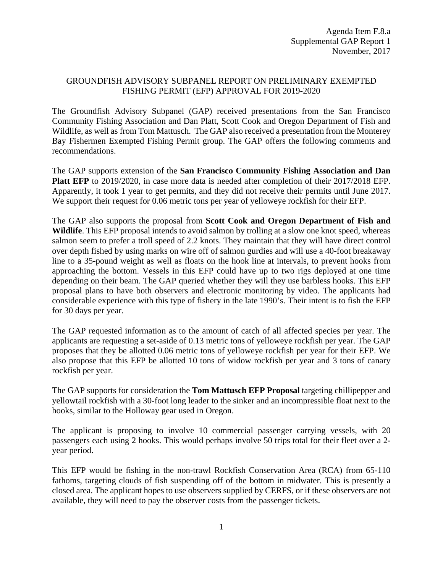## GROUNDFISH ADVISORY SUBPANEL REPORT ON PRELIMINARY EXEMPTED FISHING PERMIT (EFP) APPROVAL FOR 2019-2020

The Groundfish Advisory Subpanel (GAP) received presentations from the San Francisco Community Fishing Association and Dan Platt, Scott Cook and Oregon Department of Fish and Wildlife, as well as from Tom Mattusch. The GAP also received a presentation from the Monterey Bay Fishermen Exempted Fishing Permit group. The GAP offers the following comments and recommendations.

The GAP supports extension of the **San Francisco Community Fishing Association and Dan Platt EFP** to 2019/2020, in case more data is needed after completion of their 2017/2018 EFP. Apparently, it took 1 year to get permits, and they did not receive their permits until June 2017. We support their request for 0.06 metric tons per year of yelloweye rockfish for their EFP.

The GAP also supports the proposal from **Scott Cook and Oregon Department of Fish and Wildlife**. This EFP proposal intends to avoid salmon by trolling at a slow one knot speed, whereas salmon seem to prefer a troll speed of 2.2 knots. They maintain that they will have direct control over depth fished by using marks on wire off of salmon gurdies and will use a 40-foot breakaway line to a 35-pound weight as well as floats on the hook line at intervals, to prevent hooks from approaching the bottom. Vessels in this EFP could have up to two rigs deployed at one time depending on their beam. The GAP queried whether they will they use barbless hooks. This EFP proposal plans to have both observers and electronic monitoring by video. The applicants had considerable experience with this type of fishery in the late 1990's. Their intent is to fish the EFP for 30 days per year.

The GAP requested information as to the amount of catch of all affected species per year. The applicants are requesting a set-aside of 0.13 metric tons of yelloweye rockfish per year. The GAP proposes that they be allotted 0.06 metric tons of yelloweye rockfish per year for their EFP. We also propose that this EFP be allotted 10 tons of widow rockfish per year and 3 tons of canary rockfish per year.

The GAP supports for consideration the **Tom Mattusch EFP Proposal** targeting chillipepper and yellowtail rockfish with a 30-foot long leader to the sinker and an incompressible float next to the hooks, similar to the Holloway gear used in Oregon.

The applicant is proposing to involve 10 commercial passenger carrying vessels, with 20 passengers each using 2 hooks. This would perhaps involve 50 trips total for their fleet over a 2 year period.

This EFP would be fishing in the non-trawl Rockfish Conservation Area (RCA) from 65-110 fathoms, targeting clouds of fish suspending off of the bottom in midwater. This is presently a closed area. The applicant hopes to use observers supplied by CERFS, or if these observers are not available, they will need to pay the observer costs from the passenger tickets.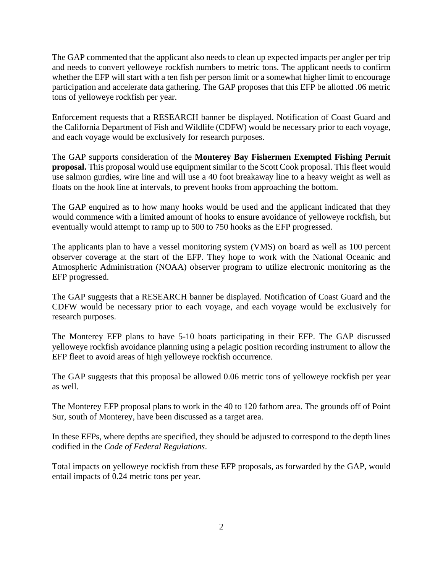The GAP commented that the applicant also needs to clean up expected impacts per angler per trip and needs to convert yelloweye rockfish numbers to metric tons. The applicant needs to confirm whether the EFP will start with a ten fish per person limit or a somewhat higher limit to encourage participation and accelerate data gathering. The GAP proposes that this EFP be allotted .06 metric tons of yelloweye rockfish per year.

Enforcement requests that a RESEARCH banner be displayed. Notification of Coast Guard and the California Department of Fish and Wildlife (CDFW) would be necessary prior to each voyage, and each voyage would be exclusively for research purposes.

The GAP supports consideration of the **Monterey Bay Fishermen Exempted Fishing Permit proposal.** This proposal would use equipment similar to the Scott Cook proposal. This fleet would use salmon gurdies, wire line and will use a 40 foot breakaway line to a heavy weight as well as floats on the hook line at intervals, to prevent hooks from approaching the bottom.

The GAP enquired as to how many hooks would be used and the applicant indicated that they would commence with a limited amount of hooks to ensure avoidance of yelloweye rockfish, but eventually would attempt to ramp up to 500 to 750 hooks as the EFP progressed.

The applicants plan to have a vessel monitoring system (VMS) on board as well as 100 percent observer coverage at the start of the EFP. They hope to work with the National Oceanic and Atmospheric Administration (NOAA) observer program to utilize electronic monitoring as the EFP progressed.

The GAP suggests that a RESEARCH banner be displayed. Notification of Coast Guard and the CDFW would be necessary prior to each voyage, and each voyage would be exclusively for research purposes.

The Monterey EFP plans to have 5-10 boats participating in their EFP. The GAP discussed yelloweye rockfish avoidance planning using a pelagic position recording instrument to allow the EFP fleet to avoid areas of high yelloweye rockfish occurrence.

The GAP suggests that this proposal be allowed 0.06 metric tons of yelloweye rockfish per year as well.

The Monterey EFP proposal plans to work in the 40 to 120 fathom area. The grounds off of Point Sur, south of Monterey, have been discussed as a target area.

In these EFPs, where depths are specified, they should be adjusted to correspond to the depth lines codified in the *Code of Federal Regulations*.

Total impacts on yelloweye rockfish from these EFP proposals, as forwarded by the GAP, would entail impacts of 0.24 metric tons per year.